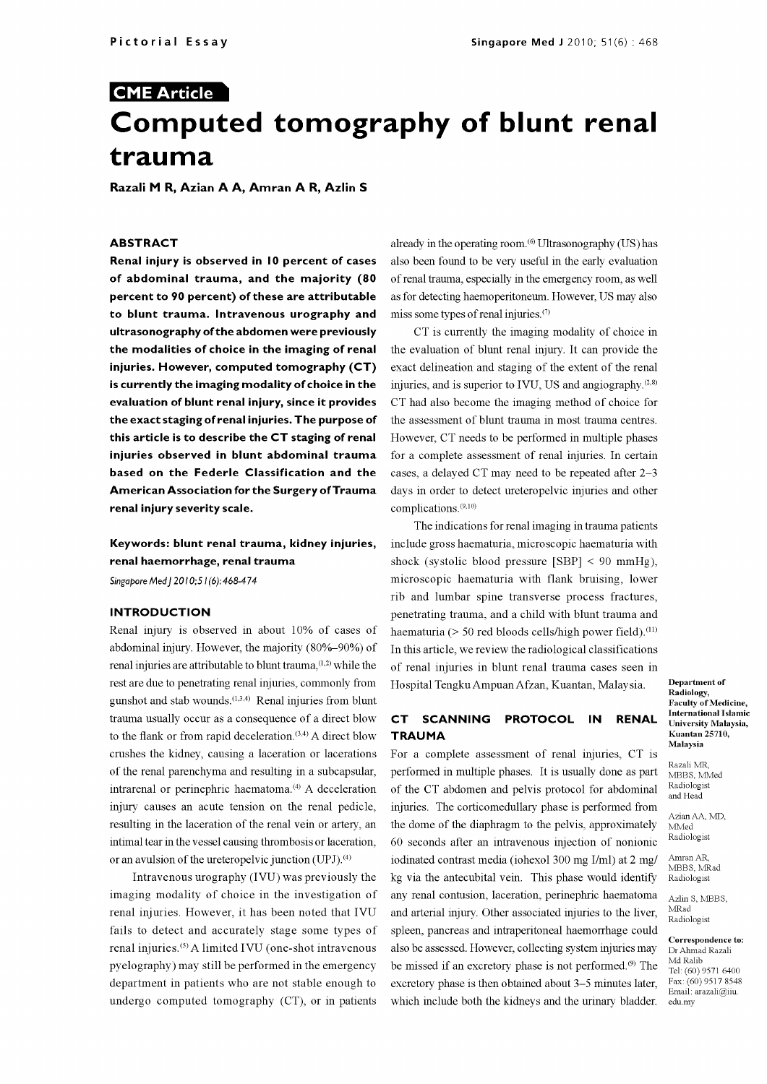# CME Article Computed tomography of blunt renal trauma

Razali M R, Azian A A, Amran A R, Azlin S

### ABSTRACT

Renal injury is observed in 10 percent of cases of abdominal trauma, and the majority  $(80 \text{ of real trauma, especially in the emergency room, as well})$ percent to 90 percent) of these are attributable to blunt trauma. Intravenous urography and ultrasonography of the abdomen were previously the modalities of choice in the imaging of renal injuries. However, computed tomography (CT) is currently the imaging modality of choice in the evaluation of blunt renal injury, since it provides the exact staging of renal injuries. The purpose of this article is to describe the CT staging of renal injuries observed in blunt abdominal trauma based on the Federle Classification and the American Association for the Surgery of Trauma renal injury severity scale.

# Keywords: blunt renal trauma, kidney injuries, renal haemorrhage, renal trauma

Singapore Med J 2010; 51(6): 468-474

## INTRODUCTION

Renal injury is observed in about 10% of cases of abdominal injury. However, the majority (80%-90%) of renal injuries are attributable to blunt trauma, (1,2) while the rest are due to penetrating renal injuries, commonly from gunshot and stab wounds.(1,3,4) Renal injuries from blunt trauma usually occur as a consequence of a direct blow **CT SCANNING** to the flank or from rapid deceleration. $(3,4)$  A direct blow crushes the kidney, causing a laceration or lacerations of the renal parenchyma and resulting in a subcapsular, intrarenal or perinephric haematoma.<sup>(4)</sup> A deceleration injury causes an acute tension on the renal pedicle, resulting in the laceration of the renal vein or artery, an intimal tear in the vessel causing thrombosis or laceration, or an avulsion of the ureteropelvic junction (UPJ).<sup>(4)</sup>

Intravenous urography (IVU) was previously the imaging modality of choice in the investigation of renal injuries. However, it has been noted that IVU fails to detect and accurately stage some types of renal injuries.<sup>(5)</sup> A limited IVU (one-shot intravenous pyelography) may still be performed in the emergency department in patients who are not stable enough to undergo computed tomography (CT), or in patients

already in the operating room.<sup>(6)</sup> Ultrasonography (US) has also been found to be very useful in the early evaluation as for detecting haemoperitoneum. However, US may also miss some types of renal injuries. $(7)$ 

CT is currently the imaging modality of choice in the evaluation of blunt renal injury. It can provide the exact delineation and staging of the extent of the renal injuries, and is superior to IVU, US and angiography.(28) CT had also become the imaging method of choice for the assessment of blunt trauma in most trauma centres. However, CT needs to be performed in multiple phases for a complete assessment of renal injuries. In certain cases, a delayed CT may need to be repeated after 2-3 days in order to detect ureteropelvic injuries and other complications. (9,10)

The indications for renal imaging in trauma patients include gross haematuria, microscopic haematuria with shock (systolic blood pressure  $[SBP] < 90$  mmHg). microscopic haematuria with flank bruising, lower rib and lumbar spine transverse process fractures, penetrating trauma, and a child with blunt trauma and haematuria ( $> 50$  red bloods cells/high power field).<sup>(11)</sup> In this article, we review the radiological classifications of renal injuries in blunt renal trauma cases seen in Hospital Tengku Ampuan Afzan, Kuantan, Malaysia.

## PROTOCOL IN RENAL **TRAUMA**

For a complete assessment of renal injuries, CT is performed in multiple phases. It is usually done as part of the CT abdomen and pelvis protocol for abdominal injuries. The corticomedullary phase is performed from the dome of the diaphragm to the pelvis, approximately 60 seconds after an intravenous injection of nonionic iodinated contrast media (iohexol 300 mg I/ml) at 2 mg/ kg via the antecubital vein. This phase would identify any renal contusion, laceration, perinephric haematoma and arterial injury. Other associated injuries to the liver, spleen, pancreas and intraperitoneal haemorrhage could<br>Correspondence to: also be assessed. However, collecting system injuries may be missed if an excretory phase is not performed.<sup>(9)</sup> The  $\frac{\text{Md } \text{Ralb}}{\text{Tel}:\text{(60) 9571 6400}}$ excretory phase is then obtained about 3-5 minutes later, which include both the kidneys and the urinary bladder.

Department of Radiology, Faculty of Medicine, International Islamic University Malaysia, Kuantan 25710, Malaysia

Razali MBBS, MMed Radiologist and Head

Azian AA, MD, MMed Radiologist

Amran AR, MBBS, MRad Radiologist

Azlin S, MBBS MRad Radiologist

Dr Ahmad Razali Md Ralib Fax: (60) 9517 8548 Email: arazali@iiu. edu.my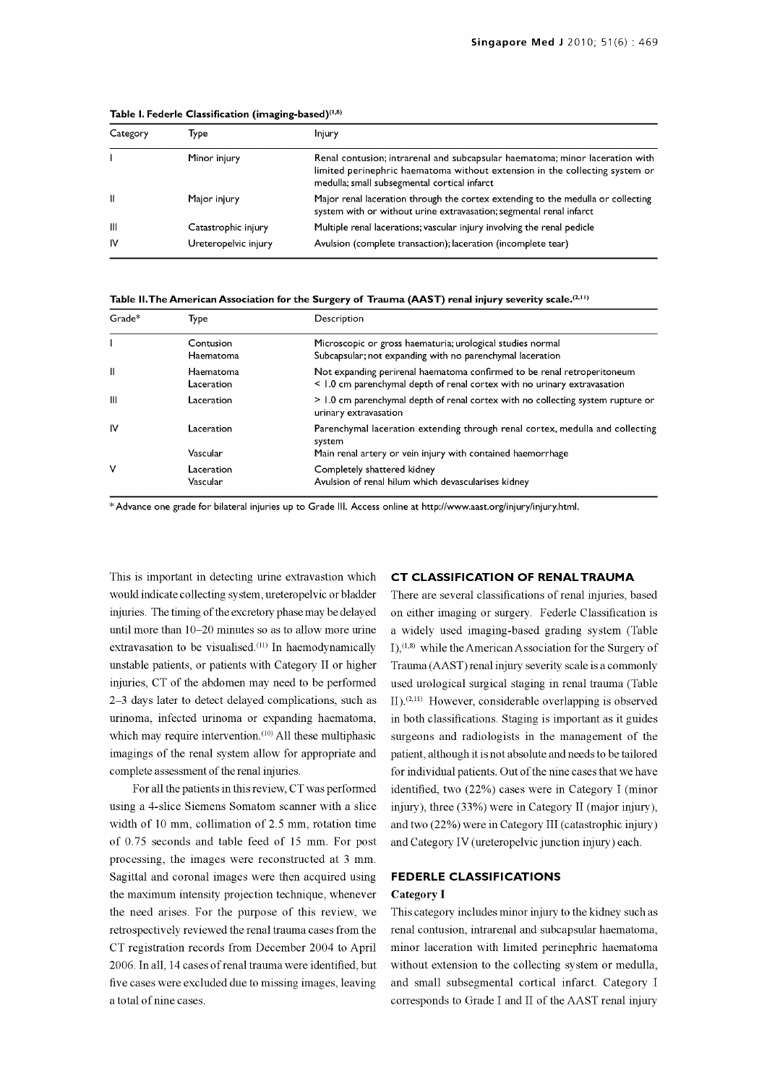| Category     | Type                 | Injury                                                                                                                                                                                                      |  |
|--------------|----------------------|-------------------------------------------------------------------------------------------------------------------------------------------------------------------------------------------------------------|--|
|              | Minor injury         | Renal contusion; intrarenal and subcapsular haematoma; minor laceration with<br>limited perinephric haematoma without extension in the collecting system or<br>medulla; small subsegmental cortical infarct |  |
| $\mathbf{H}$ | Major injury         | Major renal laceration through the cortex extending to the medulla or collecting<br>system with or without urine extravasation; segmental renal infarct                                                     |  |
| -III         | Catastrophic injury  | Multiple renal lacerations; vascular injury involving the renal pedicle                                                                                                                                     |  |
| <b>IV</b>    | Ureteropelvic injury | Avulsion (complete transaction); laceration (incomplete tear)                                                                                                                                               |  |

Table I. Federle Classification (imaging-based) $(1,8)$ 

Table II. The American Association for the Surgery of Trauma (AAST) renal injury severity scale.<sup>(2,11)</sup>

| Grade* | Type                    | Description                                                                                                                                         |  |  |
|--------|-------------------------|-----------------------------------------------------------------------------------------------------------------------------------------------------|--|--|
|        | Contusion<br>Haematoma  | Microscopic or gross haematuria; urological studies normal<br>Subcapsular; not expanding with no parenchymal laceration                             |  |  |
| Ш      | Haematoma<br>Laceration | Not expanding perirenal haematoma confirmed to be renal retroperitoneum<br>< 1.0 cm parenchymal depth of renal cortex with no urinary extravasation |  |  |
| Ш      | Laceration              | > 1.0 cm parenchymal depth of renal cortex with no collecting system rupture or<br>urinary extravasation                                            |  |  |
| ΙV     | Laceration              | Parenchymal laceration extending through renal cortex, medulla and collecting<br>system                                                             |  |  |
|        | Vascular                | Main renal artery or vein injury with contained haemorrhage                                                                                         |  |  |
| ٧      | Laceration<br>Vascular  | Completely shattered kidney<br>Avulsion of renal hilum which devascularises kidney                                                                  |  |  |

\*Advance one grade for bilateral injuries up to Grade III. Access online at http://www.aast.org/injury/injury.html.

This is important in detecting urine extravastion which would indicate collecting system, ureteropelvic or bladder injuries. The timing of the excretory phase may be delayed extravasation to be visualised.<sup>(11)</sup> In haemodynamically unstable patients, or patients with Category II or higher injuries, CT of the abdomen may need to be performed 2-3 days later to detect delayed complications, such as urinoma, infected urinoma or expanding haematoma, which may require intervention.<sup>(10)</sup> All these multiphasic imagings of the renal system allow for appropriate and complete assessment of the renal injuries.

For all the patients in this review, CT was performed using a 4 -slice Siemens Somatom scanner with a slice width of 10 mm, collimation of 2.5 mm, rotation time of 0.75 seconds and table feed of 15 mm. For post processing, the images were reconstructed at 3 mm. Sagittal and coronal images were then acquired using the maximum intensity projection technique, whenever the need arises. For the purpose of this review, we retrospectively reviewed the renal trauma cases from the CT registration records from December 2004 to April 2006. In all, 14 cases of renal trauma were identified, but five cases were excluded due to missing images, leaving a total of nine cases.

## CT CLASSIFICATION OF RENAL TRAUMA

until more than 10–20 minutes so as to allow more urine a widely used imaging-based grading system (Table on either imaging or surgery. Federle Classification is  $I$ ),<sup>(1,8)</sup> while the American Association for the Surgery of Trauma (AAST) renal injury severity scale is a commonly used urological surgical staging in renal trauma (Table  $H<sub>1</sub>(2,11) However, considerable overlapping is observed$ in both classifications. Staging is important as it guides surgeons and radiologists in the management of the patient, although it is not absolute and needs to be tailored for individual patients. Out of the nine cases that we have identified, two (22%) cases were in Category I (minor injury), three (33%) were in Category II (major injury), and two (22%) were in Category III (catastrophic injury) and Category IV (ureteropelvic junction injury) each.

#### FEDERLE CLASSIFICATIONS

#### Category I

This category includes minor injury to the kidney such as renal contusion, intrarenal and subcapsular haematoma, minor laceration with limited perinephric haematoma without extension to the collecting system or medulla, and small subsegmental cortical infarct. Category I corresponds to Grade I and II of the AAST renal injury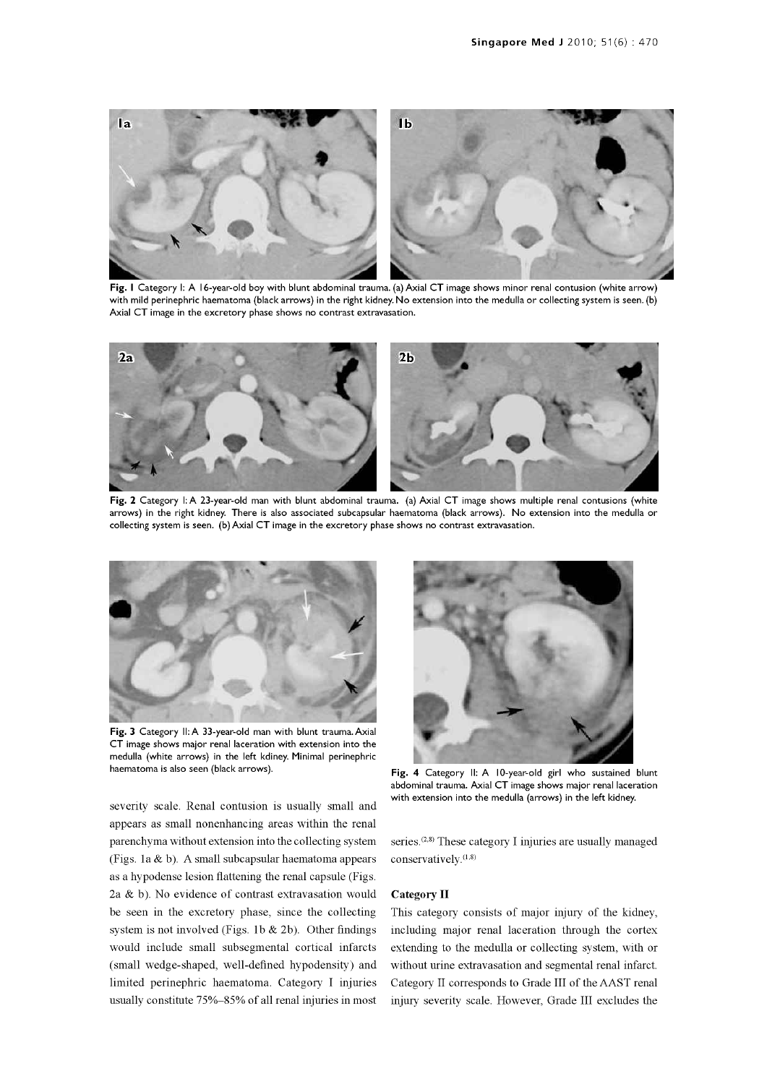

with mild perinephric haematoma (black arrows) in the right kidney. No extension into the medulla or collecting system is seen. (b) Axial CT image in the excretory phase shows no contrast extravasation.



Fig. 2 Category I: A 23-year-old man with blunt abdominal trauma. (a) Axial CT image shows multiple renal contusions (white arrows) in the right kidney. There is also associated subcapsular haematoma (black arrows). No extension into the medulla or collecting system is seen. (b) Axial CT image in the excretory phase shows no contrast extravasation.



Fig. 3 Category II: A 33-year-old man with blunt trauma. Axial CT image shows major renal laceration with extension into the medulla (white arrows) in the left kdiney. Minimal perinephric haematoma is also seen (black arrows).

severity scale. Renal contusion is usually small and appears as small nonenhancing areas within the renal parenchyma without extension into the collecting system (Figs. la & b). A small subcapsular haematoma appears as a hypodense lesion flattening the renal capsule (Figs. 2a & b). No evidence of contrast extravasation would be seen in the excretory phase, since the collecting system is not involved (Figs. 1b  $& 2b$ ). Other findings would include small subsegmental cortical infarcts (small wedge-shaped, well-defined hypodensity) and limited perinephric haematoma. Category I injuries usually constitute 75%-85% of all renal injuries in most



Fig. 4 Category II: A 10-year-old girl who sustained blunt abdominal trauma. Axial CT image shows major renal laceration with extension into the medulla (arrows) in the left kidney.

series.<sup>(2,8)</sup> These category I injuries are usually managed conservatively.<sup>(1,8)</sup>

#### Category II

This category consists of major injury of the kidney, including major renal laceration through the cortex extending to the medulla or collecting system, with or without urine extravasation and segmental renal infarct. Category II corresponds to Grade III of the AAST renal injury severity scale. However, Grade III excludes the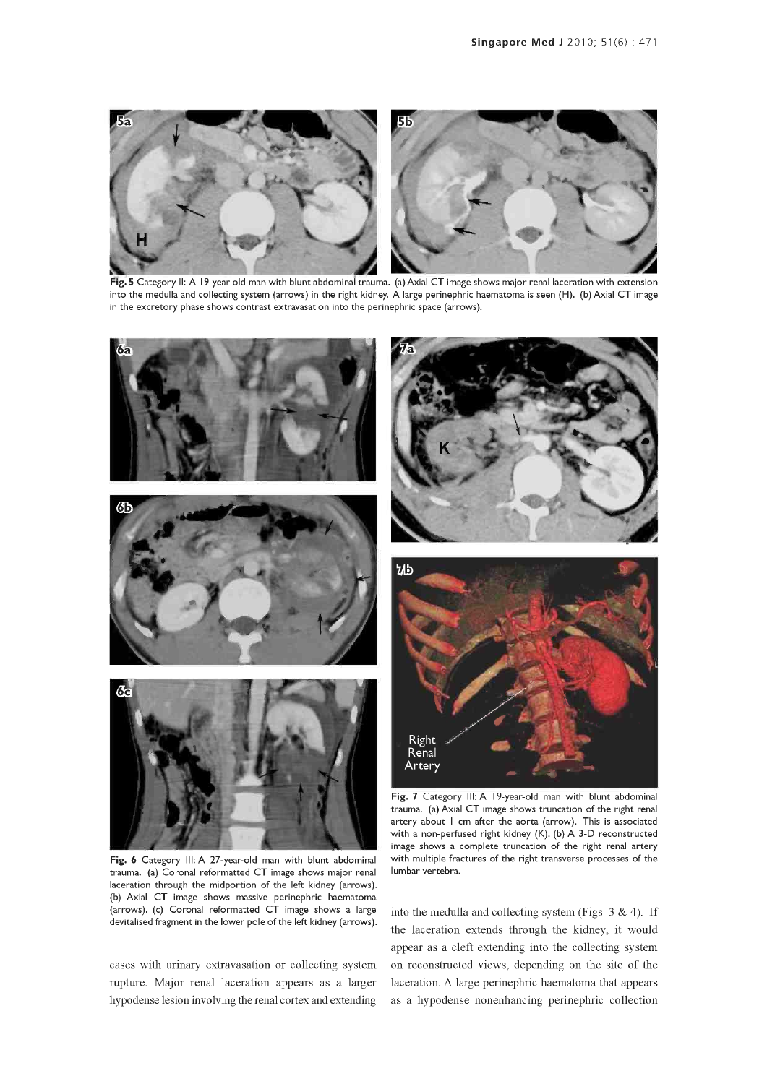

Fig. 5 Category II: A 19-year-old man with blunt abdominal trauma. (a) Axial CT image shows major renal laceration with extension into the medulla and collecting system (arrows) in the right kidney. A large perinephric haematoma is seen (H). (b) Axial CT image in the excretory phase shows contrast extravasation into the perinephric space (arrows).



Fig. 6 Category III: A 27-year-old man with blunt abdominal trauma. (a) Corona! reformatted CT image shows major renal laceration through the midportion of the left kidney (arrows). (b) Axial CT image shows massive perinephric haematoma (arrows). (c) Corona! reformatted CT image shows a large devitalised fragment in the lower pole of the left kidney (arrows).

cases with urinary extravasation or collecting system rupture. Major renal laceration appears as a larger hypodense lesion involving the renal cortex and extending



Fig. 7 Category III: A 19-year-old man with blunt abdominal trauma. (a) Axial CT image shows truncation of the right renal artery about I cm after the aorta (arrow). This is associated with a non-perfused right kidney (K). (b) A 3-D reconstructed image shows a complete truncation of the right renal artery with multiple fractures of the right transverse processes of the lumbar vertebra.

into the medulla and collecting system (Figs.  $3 \& 4$ ). If the laceration extends through the kidney, it would appear as a cleft extending into the collecting system on reconstructed views, depending on the site of the laceration. A large perinephric haematoma that appears as a hypodense nonenhancing perinephric collection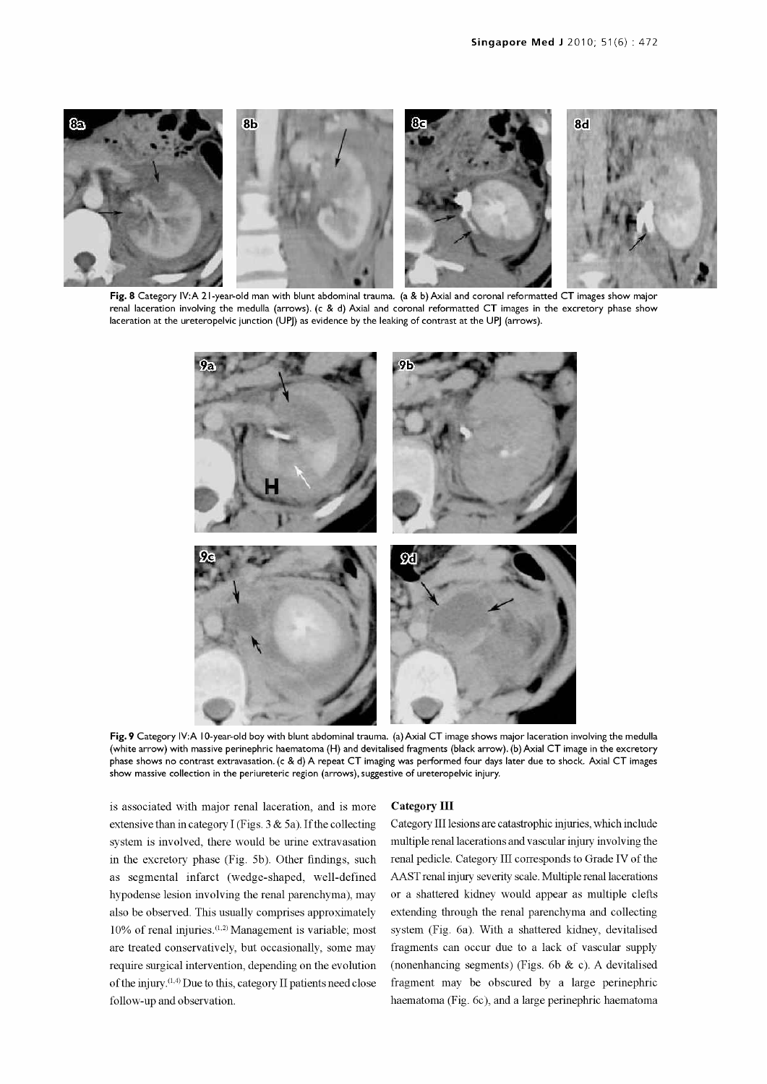

Fig. 8 Category IV:A 21-year-old man with blunt abdominal trauma. (a & b) Axial and coronal reformatted CT images show major renal laceration involving the medulla (arrows). (c & d) Axial and coronal reformatted CT images in the excretory phase show laceration at the ureteropelvic junction (UPJ) as evidence by the leaking of contrast at the UPJ (arrows).



Fig. 9 Category IV:A 10-year-old boy with blunt abdominal trauma. (a) Axial CT image shows major laceration involving the medulla (white arrow) with massive perinephric haematoma (H) and devitalised fragments (black arrow). (b) Axial CT image in the excretory phase shows no contrast extravasation. (c & d) A repeat CT imaging was performed four days later due to shock. Axial CT images show massive collection in the periureteric region (arrows), suggestive of ureteropelvic injury.

is associated with major renal laceration, and is more extensive than in category I (Figs.  $3 & 5a$ ). If the collecting system is involved, there would be urine extravasation in the excretory phase (Fig. 5b). Other findings, such as segmental infarct (wedge-shaped, well-defined hypodense lesion involving the renal parenchyma), may also be observed. This usually comprises approximately 10% of renal injuries.(1,2) Management is variable; most are treated conservatively, but occasionally, some may require surgical intervention, depending on the evolution of the injury.(1'4) Due to this, category II patients need close follow-up and observation.

#### Category III

Category III lesions are catastrophic injuries, which include multiple renal lacerations and vascular injury involving the renal pedicle. Category III corresponds to Grade IV of the or a shattered kidney would appear as multiple clefts extending through the renal parenchyma and collecting system (Fig. 6a). With a shattered kidney, devitalised fragments can occur due to a lack of vascular supply (nonenhancing segments) (Figs. 6b & c). A devitalised fragment may be obscured by a large perinephric haematoma (Fig. 6c), and a large perinephric haematoma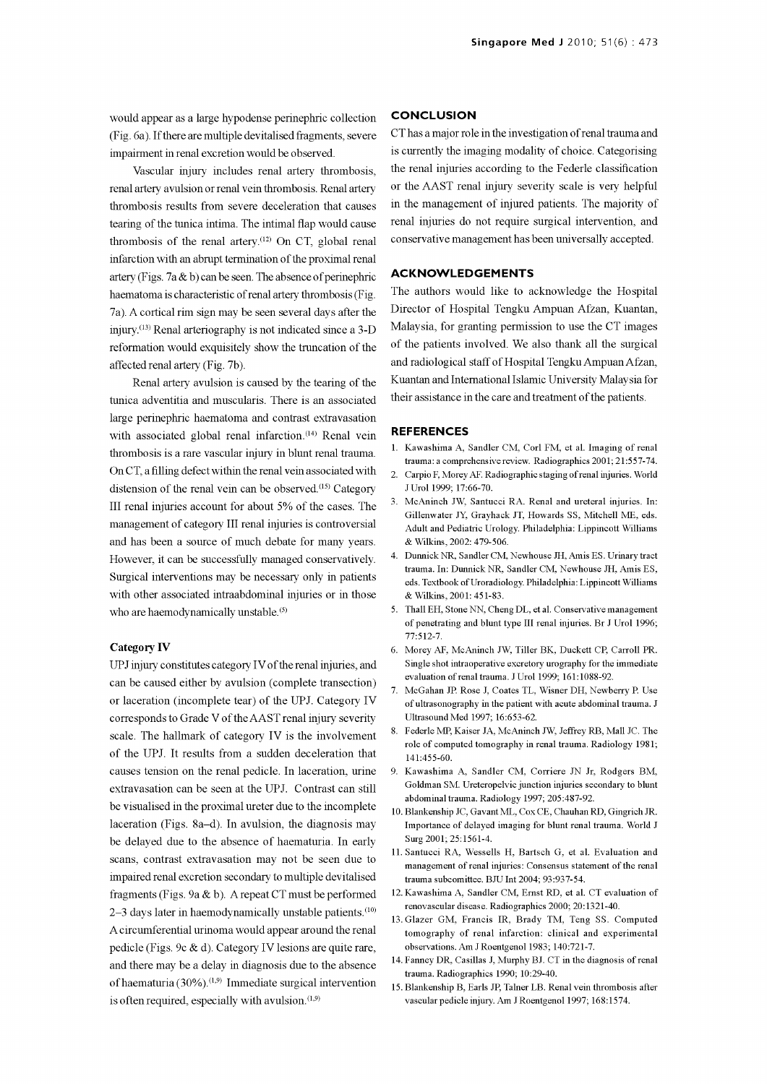would appear as a large hypodense perinephric collection (Fig. 6a). If there are multiple devitalised fragments, severe impairment in renal excretion would be observed.

renal artery avulsion or renal vein thrombosis. Renal artery thrombosis results from severe deceleration that causes tearing of the tunica intima. The intimal flap would cause thrombosis of the renal artery<sup>(12)</sup> On CT, global renal infarction with an abrupt termination of the proximal renal artery (Figs. 7a & b) can be seen. The absence of perinephric haematoma is characteristic of renal artery thrombosis (Fig. 7a). A cortical rim sign may be seen several days after the injury.<sup>(13)</sup> Renal arteriography is not indicated since a 3-D reformation would exquisitely show the truncation of the affected renal artery (Fig. 7b).

Renal artery avulsion is caused by the tearing of the tunica adventitia and muscularis. There is an associated large perinephric haematoma and contrast extravasation with associated global renal infarction.<sup>(14)</sup> Renal vein thrombosis is a rare vascular injury in blunt renal trauma. On CT, a filling defect within the renal vein associated with distension of the renal vein can be observed.<sup>(15)</sup> Category III renal injuries account for about 5% of the cases. The management of category III renal injuries is controversial and has been a source of much debate for many years. However, it can be successfully managed conservatively. 4. Dunnick NR, Sandler CM, Newhouse JH, Amis ES. Urinary tract Surgical interventions may be necessary only in patients with other associated intraabdominal injuries or in those who are haemodynamically unstable.<sup>(5)</sup>

#### Category IV

UPJ injury constitutes category IV of the renal injuries, and can be caused either by avulsion (complete transection) or laceration (incomplete tear) of the UPJ. Category IV corresponds to Grade V of the AAST renal injury severity scale. The hallmark of category IV is the involvement of the UPJ. It results from a sudden deceleration that causes tension on the renal pedicle. In laceration, urine extravasation can be seen at the UPJ. Contrast can still be visualised in the proximal ureter due to the incomplete laceration (Figs. 8a-d). In avulsion, the diagnosis may be delayed due to the absence of haematuria. In early scans, contrast extravasation may not be seen due to impaired renal excretion secondary to multiple devitalised fragments (Figs. 9a & b). A repeat CT must be performed  $2-3$  days later in haemodynamically unstable patients.<sup>(10)</sup> A circumferential urinoma would appear around the renal pedicle (Figs. 9c & d). Category IV lesions are quite rare, and there may be a delay in diagnosis due to the absence trauma. Radiographics 1990; 10:29-40.<br>
of haematuria (30%).<sup>(1,9)</sup> Immediate surgical intervention 15 Plankanship P, Farls IP, Talpar J, P, P, P is often required, especially with avulsion.  $(1,9)$ 

#### **CONCLUSION**

Vascular injury includes renal artery thrombosis, the renal injuries according to the Federle classification CT has a major role in the investigation of renal trauma and is currently the imaging modality of choice. Categorising or the AAST renal injury severity scale is very helpful in the management of injured patients. The majority of renal injuries do not require surgical intervention, and conservative management has been universally accepted.

#### ACKNOWLEDGEMENTS

The authors would like to acknowledge the Hospital Director of Hospital Tengku Ampuan Afzan, Kuantan, Malaysia, for granting permission to use the CT images of the patients involved. We also thank all the surgical and radiological staff of Hospital Tengku Ampuan Afzan, Kuantan and International Islamic University Malaysia for their assistance in the care and treatment of the patients.

#### REFERENCES

- 1. Kawashima A, Sandler CM, Corl FM, et al. Imaging of renal trauma: a comprehensive review. Radiographics 2001; 21:557-74.
- 2. Carpio F, Morey AF. Radiographic staging of renal injuries. World J Urol 1999; 17:66-70.
- 3. McAninch JW, Santucci RA. Renal and ureteral injuries. In: Gillenwater JY, Grayhack JT, Howards SS, Mitchell ME, eds. Adult and Pediatric Urology. Philadelphia: Lippincott Williams & Wilkins, 2002: 479-506.
- trauma, In: Dunnick NR, Sandler CM, Newhouse JH, Amis ES, eds. Textbook of Uroradiology. Philadelphia: Lippincott Williams & Wilkins, 2001: 451-83.
- 5. Thall EH, Stone NN, Cheng DL, et al. Conservative management of penetrating and blunt type III renal injuries. Br J Urol 1996; 77:512-7.
- 6. Morey AF, McAninch JW, Tiller BK, Duckett CP, Carroll PR. Single shot intraoperative excretory urography for the immediate evaluation of renal trauma. J Urol 1999; 161:1088-92.
- 7. McGahan JP. Rose J, Coates TL, Wisner DH, Newberry P. Use of ultrasonography in the patient with acute abdominal trauma. J Ultrasound Med 1997; 16:653-62.
- 8. Federle MP, Kaiser JA, McAninch JW, Jeffrey RB, Mall JC. The role of computed tomography in renal trauma. Radiology 1981; 141:455-60.
- 9. Kawashima A, Sandler CM, Corriere JN Jr, Rodgers BM, Goldman SM. Ureteropelvic junction injuries secondary to blunt abdominal trauma. Radiology 1997; 205:487-92.
- 10. Blankenship JC, Gavant ML, Cox CE, Chauhan RD, Gingrich JR. Importance of delayed imaging for blunt renal trauma. World J Surg 2001; 25:1561-4.
- 11. Santucci RA, Wessells H, Bartsch G, et al. Evaluation and management of renal injuries: Consensus statement of the renal
- 12. Kawashima A, Sandler CM, Ernst RD, et al. CT evaluation of renovascular disease. Radiographics 2000; 20:1321-40.
- 13. Glazer GM, Francis IR, Brady TM, Teng SS. Computed tomography of renal infarction: clinical and experimental observations. Am J Roentgenol 1983; 140:721-7.
- 14. Fanney DR, Casillas J, Murphy BJ. CT in the diagnosis of renal
- 15. Blankenship B, Earls JP, Talner LB. Renal vein thrombosis after vascular pedicle injury. Am J Roentgenol 1997; 168:1574.